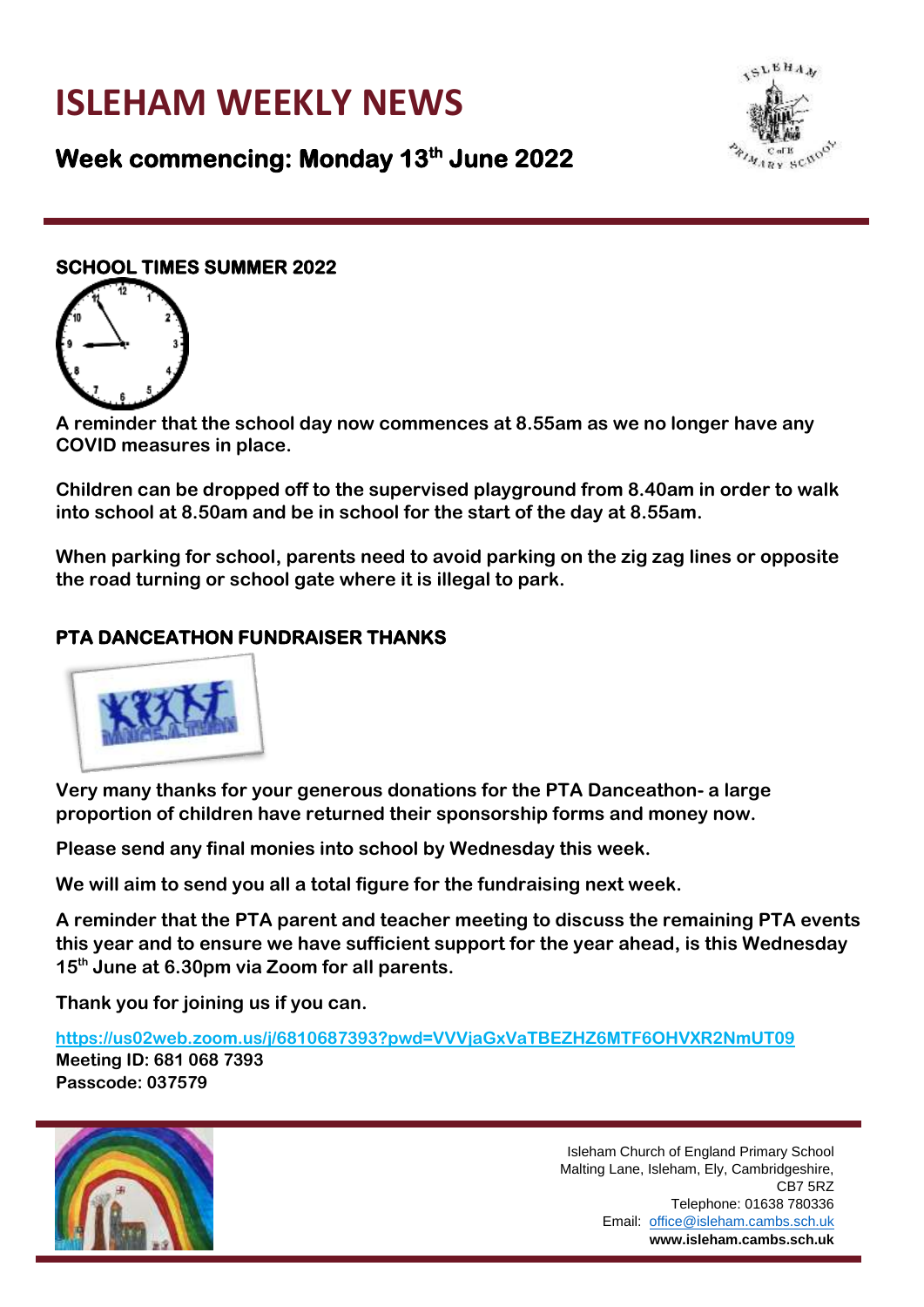# **ISLEHAM WEEKLY NEWS**



# **Week commencing: Monday 13th June 2022**

#### **SCHOOL TIMES SUMMER 2022**



**A reminder that the school day now commences at 8.55am as we no longer have any COVID measures in place.** 

**Children can be dropped off to the supervised playground from 8.40am in order to walk into school at 8.50am and be in school for the start of the day at 8.55am.**

**When parking for school, parents need to avoid parking on the zig zag lines or opposite the road turning or school gate where it is illegal to park.** 

## **PTA DANCEATHON FUNDRAISER THANKS**



**Very many thanks for your generous donations for the PTA Danceathon- a large proportion of children have returned their sponsorship forms and money now.** 

**Please send any final monies into school by Wednesday this week.**

**We will aim to send you all a total figure for the fundraising next week.**

**A reminder that the PTA parent and teacher meeting to discuss the remaining PTA events this year and to ensure we have sufficient support for the year ahead, is this Wednesday 15th June at 6.30pm via Zoom for all parents.**

**Thank you for joining us if you can.** 

**<https://us02web.zoom.us/j/6810687393?pwd=VVVjaGxVaTBEZHZ6MTF6OHVXR2NmUT09> Meeting ID: 681 068 7393 Passcode: 037579**

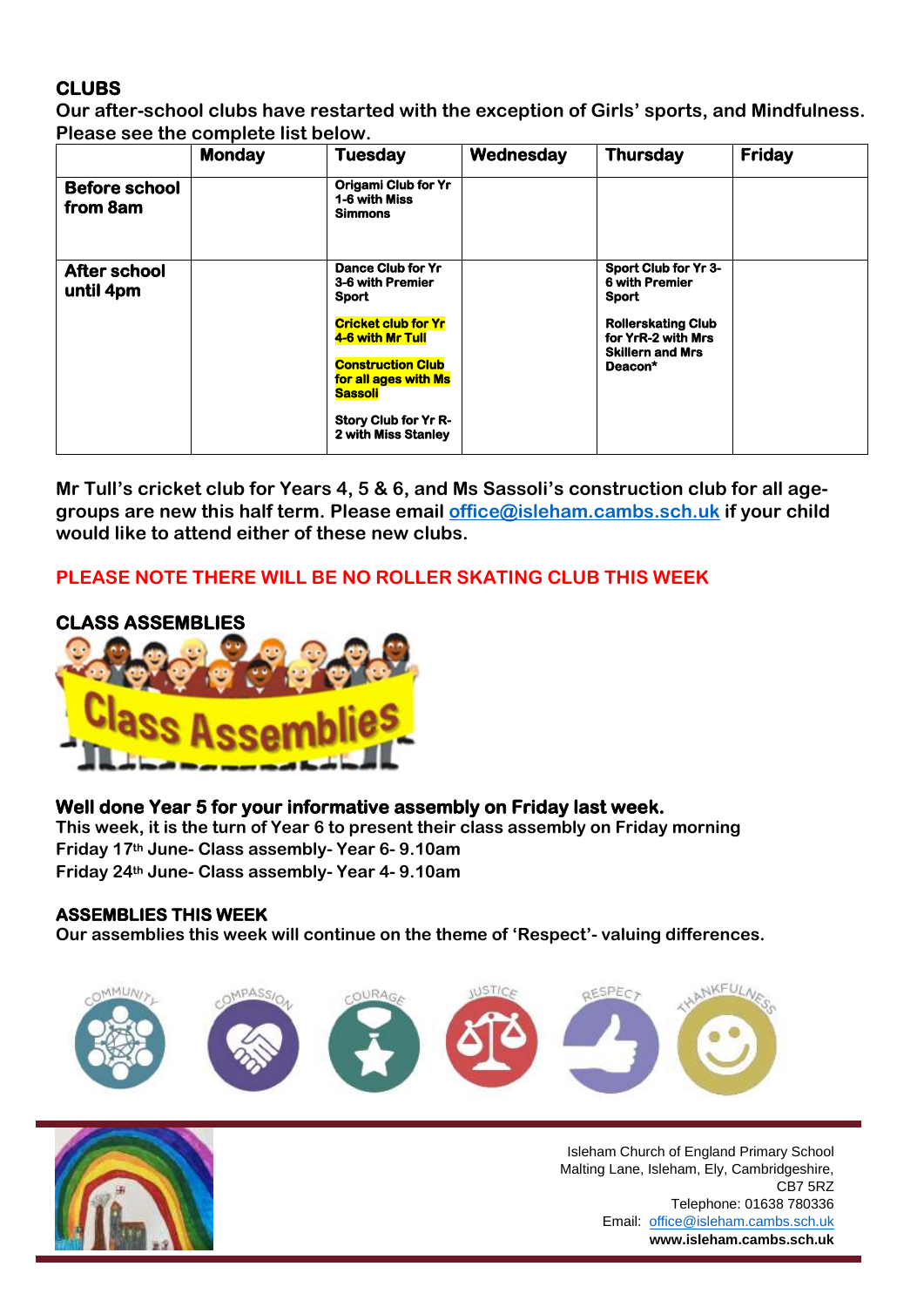# **CLUBS**

**Our after-school clubs have restarted with the exception of Girls' sports, and Mindfulness. Please see the complete list below.**

|                                  | <b>Monday</b> | <b>Tuesday</b>                                                                                                                                                                                                                      | Wednesday | <b>Thursday</b>                                                                                                                                        | <b>Friday</b> |
|----------------------------------|---------------|-------------------------------------------------------------------------------------------------------------------------------------------------------------------------------------------------------------------------------------|-----------|--------------------------------------------------------------------------------------------------------------------------------------------------------|---------------|
| <b>Before school</b><br>from 8am |               | <b>Origami Club for Yr</b><br>1-6 with Miss<br><b>Simmons</b>                                                                                                                                                                       |           |                                                                                                                                                        |               |
| <b>After school</b><br>until 4pm |               | <b>Dance Club for Yr</b><br>3-6 with Premier<br><b>Sport</b><br><b>Cricket club for Yr</b><br>4-6 with Mr Tull<br><b>Construction Club</b><br>for all ages with Ms<br><b>Sassoli</b><br>Story Club for Yr R-<br>2 with Miss Stanley |           | Sport Club for Yr 3-<br><b>6 with Premier</b><br><b>Sport</b><br><b>Rollerskating Club</b><br>for YrR-2 with Mrs<br><b>Skillern and Mrs</b><br>Deacon* |               |

**Mr Tull's cricket club for Years 4, 5 & 6, and Ms Sassoli's construction club for all agegroups are new this half term. Please email [office@isleham.cambs.sch.uk](mailto:office@isleham.cambs.sch.uk) if your child would like to attend either of these new clubs.**

## **PLEASE NOTE THERE WILL BE NO ROLLER SKATING CLUB THIS WEEK**





#### **Well done Year 5 for your informative assembly on Friday last week.**

**This week, it is the turn of Year 6 to present their class assembly on Friday morning Friday 17th June- Class assembly- Year 6- 9.10am Friday 24th June- Class assembly- Year 4- 9.10am**

#### **ASSEMBLIES THIS WEEK**

**Our assemblies this week will continue on the theme of 'Respect'- valuing differences.**



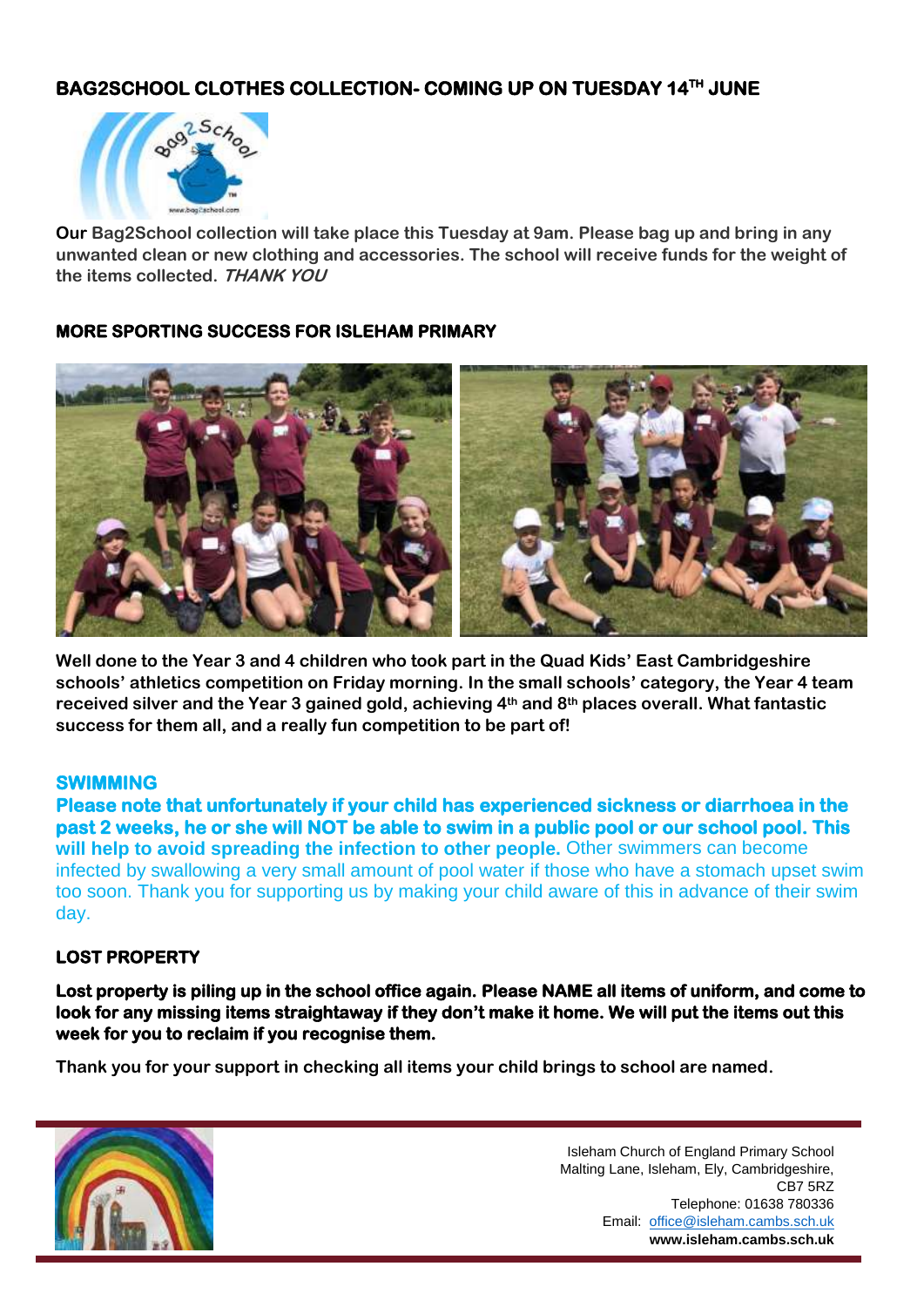# **BAG2SCHOOL CLOTHES COLLECTION- COMING UP ON TUESDAY 14TH JUNE**



**Our Bag2School collection will take place this Tuesday at 9am. Please bag up and bring in any unwanted clean or new clothing and accessories. The school will receive funds for the weight of the items collected. THANK YOU**

#### **MORE SPORTING SUCCESS FOR ISLEHAM PRIMARY**



**Well done to the Year 3 and 4 children who took part in the Quad Kids' East Cambridgeshire schools' athletics competition on Friday morning. In the small schools' category, the Year 4 team received silver and the Year 3 gained gold, achieving 4th and 8th places overall. What fantastic success for them all, and a really fun competition to be part of!**

#### **SWIMMING**

**Please note that unfortunately if your child has experienced sickness or diarrhoea in the past 2 weeks, he or she will NOT be able to swim in a public pool or our school pool. This will help to avoid spreading the infection to other people.** Other swimmers can become infected by swallowing a very small amount of pool water if those who have a stomach upset swim too soon. Thank you for supporting us by making your child aware of this in advance of their swim day.

#### **LOST PROPERTY**

**Lost property is piling up in the school office again. Please NAME all items of uniform, and come to look for any missing items straightaway if they don't make it home. We will put the items out this week for you to reclaim if you recognise them.** 

**Thank you for your support in checking all items your child brings to school are named.** 

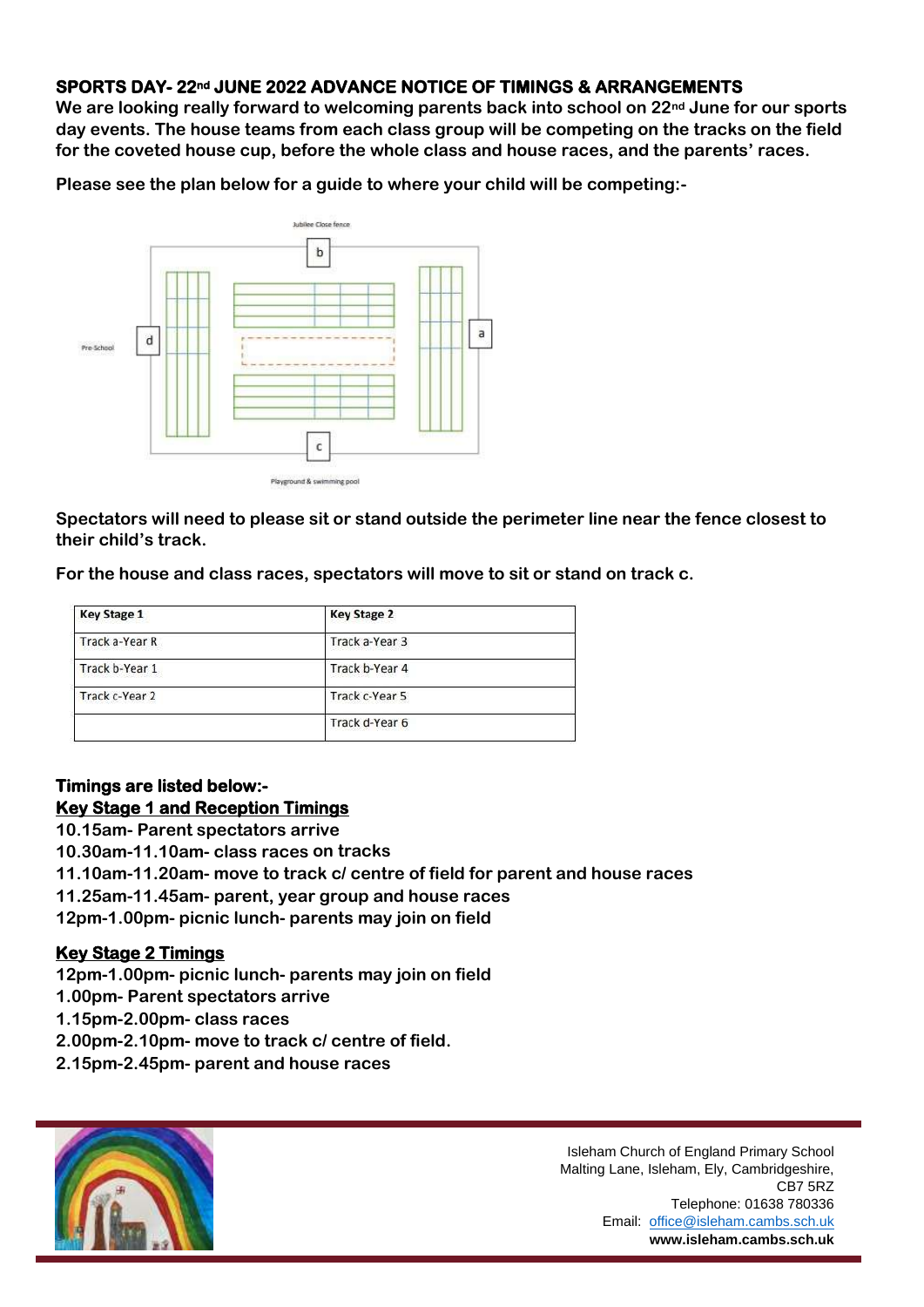#### **SPORTS DAY- 22nd JUNE 2022 ADVANCE NOTICE OF TIMINGS & ARRANGEMENTS**

**We are looking really forward to welcoming parents back into school on 22nd June for our sports day events. The house teams from each class group will be competing on the tracks on the field for the coveted house cup, before the whole class and house races, and the parents' races.**

**Please see the plan below for a guide to where your child will be competing:-**



**Spectators will need to please sit or stand outside the perimeter line near the fence closest to their child's track.**

**For the house and class races, spectators will move to sit or stand on track c.**

| <b>Key Stage 2</b> |  |  |
|--------------------|--|--|
| Track a-Year 3     |  |  |
| Track b-Year 4     |  |  |
| Track c-Year 5     |  |  |
| Track d-Year 6     |  |  |
|                    |  |  |

#### **Timings are listed below:- Key Stage 1 and Reception Timings**

- **10.15am- Parent spectators arrive**
- **10.30am-11.10am- class races on tracks**
- **11.10am-11.20am- move to track c/ centre of field for parent and house races**
- **11.25am-11.45am- parent, year group and house races**
- **12pm-1.00pm- picnic lunch- parents may join on field**

#### **Key Stage 2 Timings**

**12pm-1.00pm- picnic lunch- parents may join on field** 

- **1.00pm- Parent spectators arrive**
- **1.15pm-2.00pm- class races**
- **2.00pm-2.10pm- move to track c/ centre of field.**
- **2.15pm-2.45pm- parent and house races**

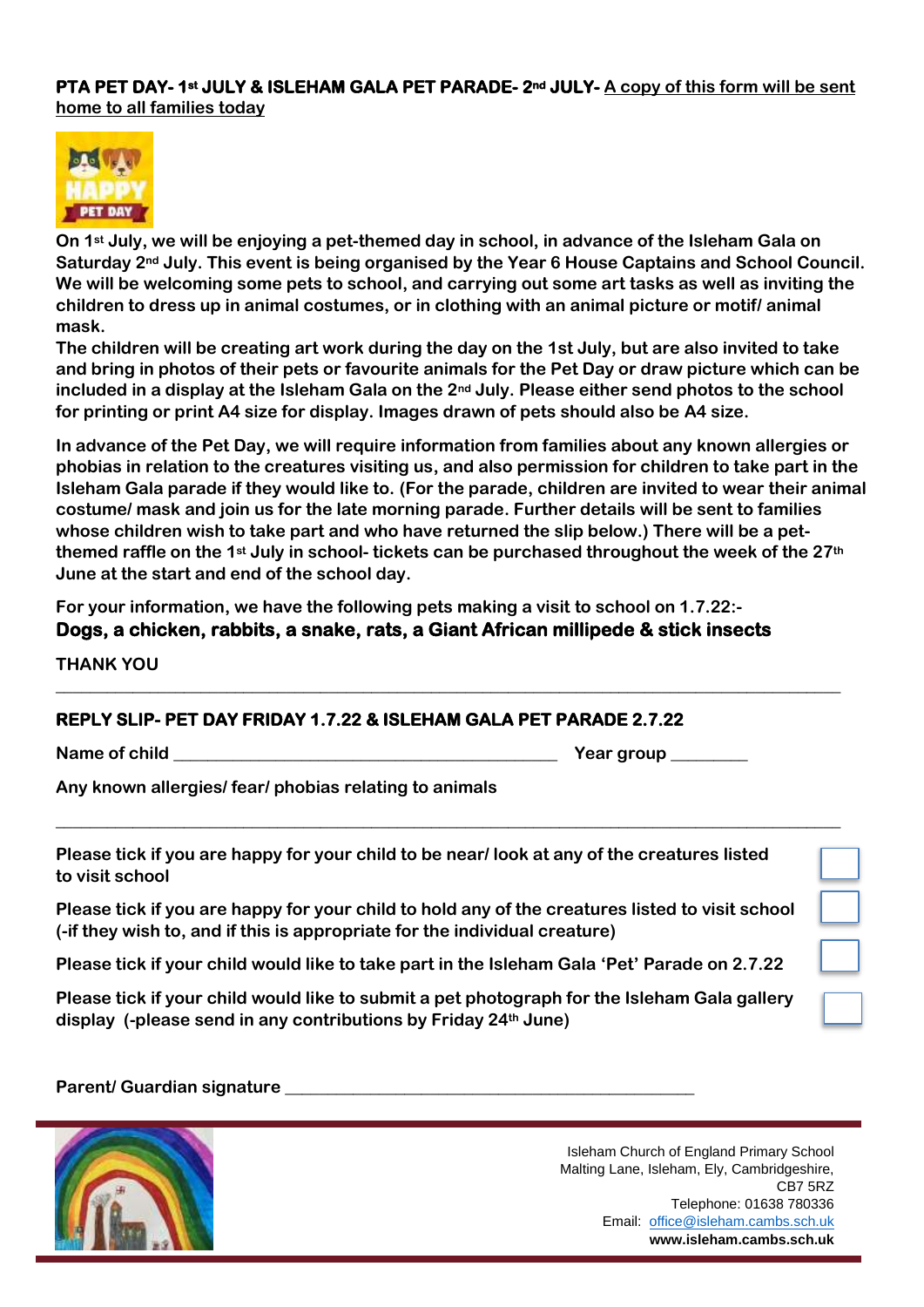**PTA PET DAY- 1st JULY & ISLEHAM GALA PET PARADE- 2nd JULY- A copy of this form will be sent home to all families today** 



**On 1st July, we will be enjoying a pet-themed day in school, in advance of the Isleham Gala on Saturday 2nd July. This event is being organised by the Year 6 House Captains and School Council. We will be welcoming some pets to school, and carrying out some art tasks as well as inviting the children to dress up in animal costumes, or in clothing with an animal picture or motif/ animal mask.**

**The children will be creating art work during the day on the 1st July, but are also invited to take and bring in photos of their pets or favourite animals for the Pet Day or draw picture which can be included in a display at the Isleham Gala on the 2nd July. Please either send photos to the school for printing or print A4 size for display. Images drawn of pets should also be A4 size.**

**In advance of the Pet Day, we will require information from families about any known allergies or phobias in relation to the creatures visiting us, and also permission for children to take part in the Isleham Gala parade if they would like to. (For the parade, children are invited to wear their animal costume/ mask and join us for the late morning parade. Further details will be sent to families whose children wish to take part and who have returned the slip below.) There will be a petthemed raffle on the 1st July in school- tickets can be purchased throughout the week of the 27th June at the start and end of the school day.**

**For your information, we have the following pets making a visit to school on 1.7.22:- Dogs, a chicken, rabbits, a snake, rats, a Giant African millipede & stick insects** 

**\_\_\_\_\_\_\_\_\_\_\_\_\_\_\_\_\_\_\_\_\_\_\_\_\_\_\_\_\_\_\_\_\_\_\_\_\_\_\_\_\_\_\_\_\_\_\_\_\_\_\_\_\_\_\_\_\_\_\_\_\_\_\_\_\_\_\_\_\_\_\_\_\_\_\_\_\_\_\_\_\_\_\_\_\_\_\_\_\_\_\_\_**

**\_\_\_\_\_\_\_\_\_\_\_\_\_\_\_\_\_\_\_\_\_\_\_\_\_\_\_\_\_\_\_\_\_\_\_\_\_\_\_\_\_\_\_\_\_\_\_\_\_\_\_\_\_\_\_\_\_\_\_\_\_\_\_\_\_\_\_\_\_\_\_\_\_\_\_\_\_\_\_\_\_\_\_\_\_\_\_\_\_\_\_\_**

**THANK YOU**

#### **REPLY SLIP- PET DAY FRIDAY 1.7.22 & ISLEHAM GALA PET PARADE 2.7.22**

**Name of child**   $\blacksquare$ 

**Any known allergies/ fear/ phobias relating to animals**

**Please tick if you are happy for your child to be near/ look at any of the creatures listed to visit school**

**Please tick if you are happy for your child to hold any of the creatures listed to visit school (-if they wish to, and if this is appropriate for the individual creature)**

**Please tick if your child would like to take part in the Isleham Gala 'Pet' Parade on 2.7.22** 

**Please tick if your child would like to submit a pet photograph for the Isleham Gala gallery display (-please send in any contributions by Friday 24th June)**

Parent/ Guardian signature **Latitude 2018**